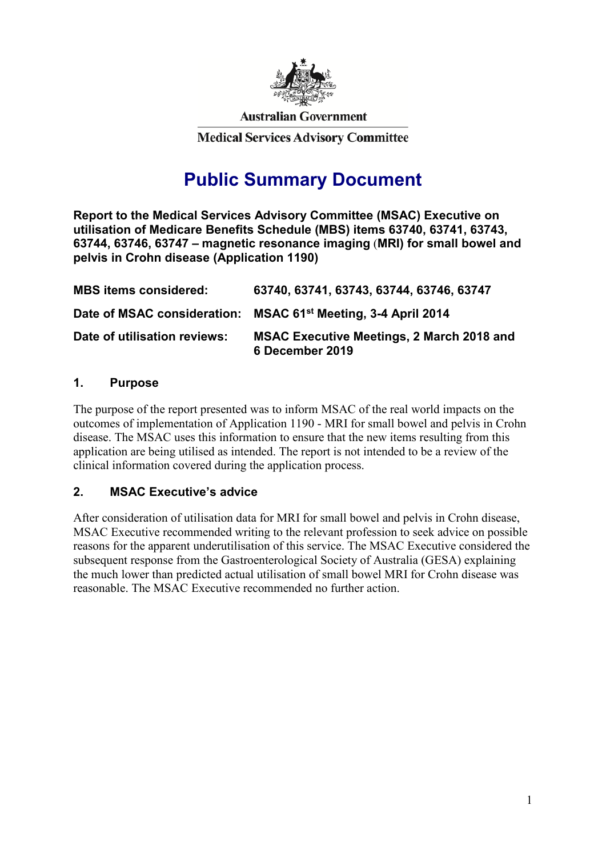

**Australian Government** 

**Medical Services Advisory Committee** 

# **Public Summary Document**

**Report to the Medical Services Advisory Committee (MSAC) Executive on utilisation of Medicare Benefits Schedule (MBS) items 63740, 63741, 63743, 63744, 63746, 63747 – magnetic resonance imaging** (**MRI) for small bowel and pelvis in Crohn disease (Application 1190)**

| <b>MBS items considered:</b> | 63740, 63741, 63743, 63744, 63746, 63747                                  |
|------------------------------|---------------------------------------------------------------------------|
|                              | Date of MSAC consideration: MSAC 61 <sup>st</sup> Meeting, 3-4 April 2014 |
| Date of utilisation reviews: | <b>MSAC Executive Meetings, 2 March 2018 and</b><br>6 December 2019       |

### **1. Purpose**

The purpose of the report presented was to inform MSAC of the real world impacts on the outcomes of implementation of Application 1190 - MRI for small bowel and pelvis in Crohn disease. The MSAC uses this information to ensure that the new items resulting from this application are being utilised as intended. The report is not intended to be a review of the clinical information covered during the application process.

### **2. MSAC Executive's advice**

After consideration of utilisation data for MRI for small bowel and pelvis in Crohn disease, MSAC Executive recommended writing to the relevant profession to seek advice on possible reasons for the apparent underutilisation of this service. The MSAC Executive considered the subsequent response from the Gastroenterological Society of Australia (GESA) explaining the much lower than predicted actual utilisation of small bowel MRI for Crohn disease was reasonable. The MSAC Executive recommended no further action.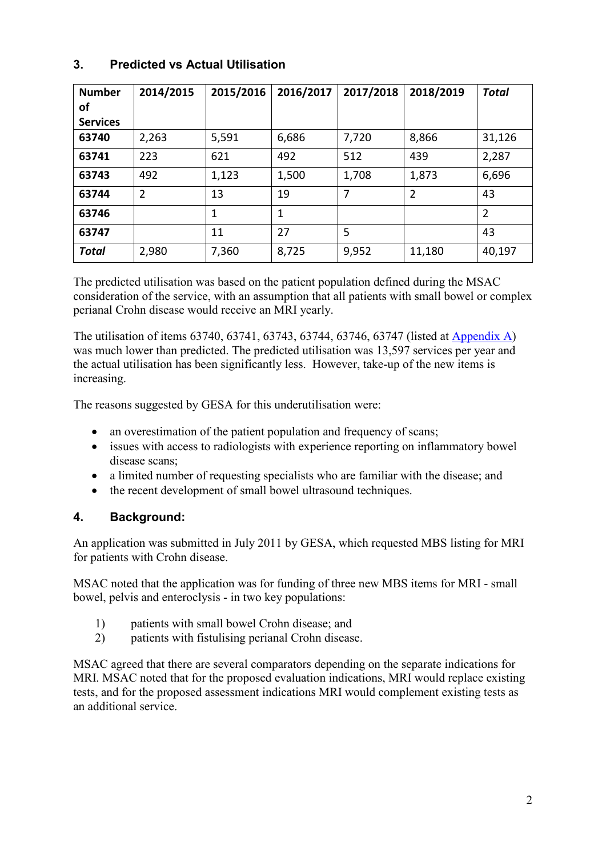## **3. Predicted vs Actual Utilisation**

| <b>Number</b><br>οf<br><b>Services</b> | 2014/2015      | 2015/2016 | 2016/2017 | 2017/2018 | 2018/2019      | <b>Total</b>   |
|----------------------------------------|----------------|-----------|-----------|-----------|----------------|----------------|
| 63740                                  | 2,263          | 5,591     | 6,686     | 7,720     | 8,866          | 31,126         |
| 63741                                  | 223            | 621       | 492       | 512       | 439            | 2,287          |
| 63743                                  | 492            | 1,123     | 1,500     | 1,708     | 1,873          | 6,696          |
| 63744                                  | $\overline{2}$ | 13        | 19        | 7         | $\overline{2}$ | 43             |
| 63746                                  |                | 1         | 1         |           |                | $\overline{2}$ |
| 63747                                  |                | 11        | 27        | 5         |                | 43             |
| <b>Total</b>                           | 2,980          | 7,360     | 8,725     | 9,952     | 11,180         | 40,197         |

The predicted utilisation was based on the patient population defined during the MSAC consideration of the service, with an assumption that all patients with small bowel or complex perianal Crohn disease would receive an MRI yearly.

The utilisation of items 63740, 63741, 63743, 63744, 63746, 63747 (listed at [Appendix A\)](#page-3-0) was much lower than predicted. The predicted utilisation was 13,597 services per year and the actual utilisation has been significantly less. However, take-up of the new items is increasing.

The reasons suggested by GESA for this underutilisation were:

- an overestimation of the patient population and frequency of scans;
- issues with access to radiologists with experience reporting on inflammatory bowel disease scans;
- a limited number of requesting specialists who are familiar with the disease; and
- the recent development of small bowel ultrasound techniques.

### **4. Background:**

An application was submitted in July 2011 by GESA, which requested MBS listing for MRI for patients with Crohn disease.

MSAC noted that the application was for funding of three new MBS items for MRI - small bowel, pelvis and enteroclysis - in two key populations:

- 1) patients with small bowel Crohn disease; and
- 2) patients with fistulising perianal Crohn disease.

MSAC agreed that there are several comparators depending on the separate indications for MRI. MSAC noted that for the proposed evaluation indications, MRI would replace existing tests, and for the proposed assessment indications MRI would complement existing tests as an additional service.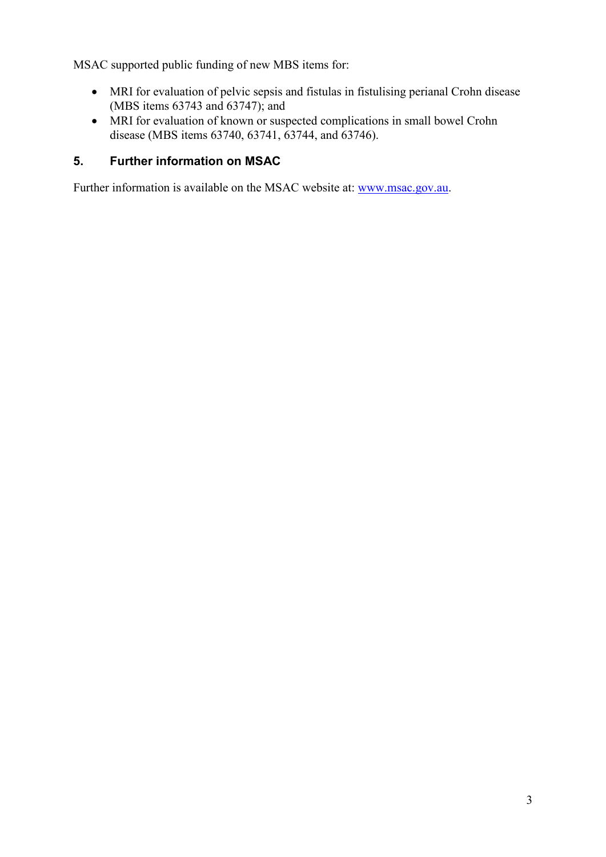MSAC supported public funding of new MBS items for:

- MRI for evaluation of pelvic sepsis and fistulas in fistulising perianal Crohn disease (MBS items 63743 and 63747); and
- MRI for evaluation of known or suspected complications in small bowel Crohn disease (MBS items 63740, 63741, 63744, and 63746).

## **5. Further information on MSAC**

Further information is available on the MSAC website at: [www.msac.gov.au.](http://www.msac.gov.au/)